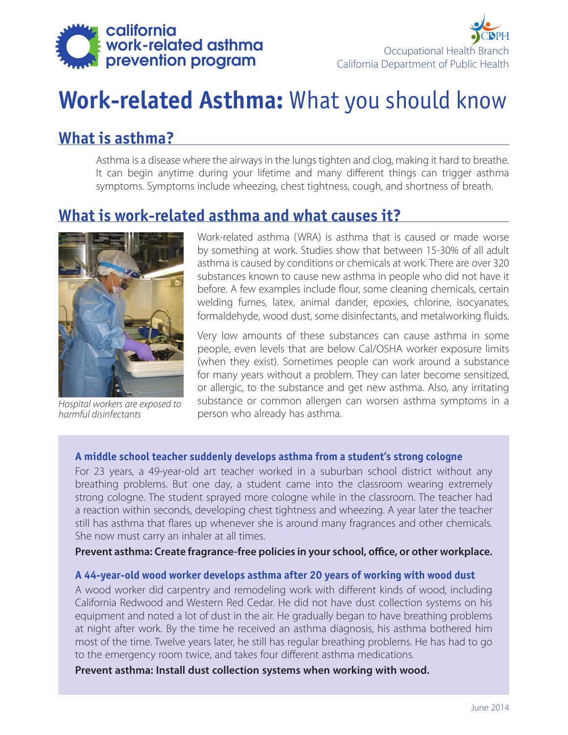



# **Work-related Asthma:** What you should know

# **What is asthma?**

Asthma is a disease where the airways in the lungs tighten and clog, making it hard to breathe. It can begin anytime during your lifetime and many different things can trigger asthma symptoms. Symptoms include wheezing, chest tightness, cough, and shortness of breath.

### **What is work-related asthma and what causes it?**



*Hospital workers are exposed to harmful disinfectants*

Work-related asthma (WRA) is asthma that is caused or made worse by something at work. Studies show that between 15-30% of all adult asthma is caused by conditions or chemicals at work. There are over 320 substances known to cause new asthma in people who did not have it before. A few examples include flour, some cleaning chemicals, certain welding fumes, latex, animal dander, epoxies, chlorine, isocyanates, formaldehyde, wood dust, some disinfectants, and metalworking fluids.

Very low amounts of these substances can cause asthma in some people, even levels that are below Cal/OSHA worker exposure limits (when they exist). Sometimes people can work around a substance for many years without a problem. They can later become sensitized, or allergic, to the substance and get new asthma. Also, any irritating substance or common allergen can worsen asthma symptoms in a person who already has asthma.

#### **A middle school teacher suddenly develops asthma from a student's strong cologne**

For 23 years, a 49-year-old art teacher worked in a suburban school district without any breathing problems. But one day, a student came into the classroom wearing extremely strong cologne. The student sprayed more cologne while in the classroom. The teacher had a reaction within seconds, developing chest tightness and wheezing. A year later the teacher still has asthma that flares up whenever she is around many fragrances and other chemicals. She now must carry an inhaler at all times.

#### **Prevent asthma: Create fragrance-free policies in your school, office, or other workplace.**

#### **A 44-year-old wood worker develops asthma after 20 years of working with wood dust**

A wood worker did carpentry and remodeling work with different kinds of wood, including California Redwood and Western Red Cedar. He did not have dust collection systems on his equipment and noted a lot of dust in the air. He gradually began to have breathing problems at night after work. By the time he received an asthma diagnosis, his asthma bothered him most of the time. Twelve years later, he still has regular breathing problems. He has had to go to the emergency room twice, and takes four different asthma medications.

**Prevent asthma: Install dust collection systems when working with wood.**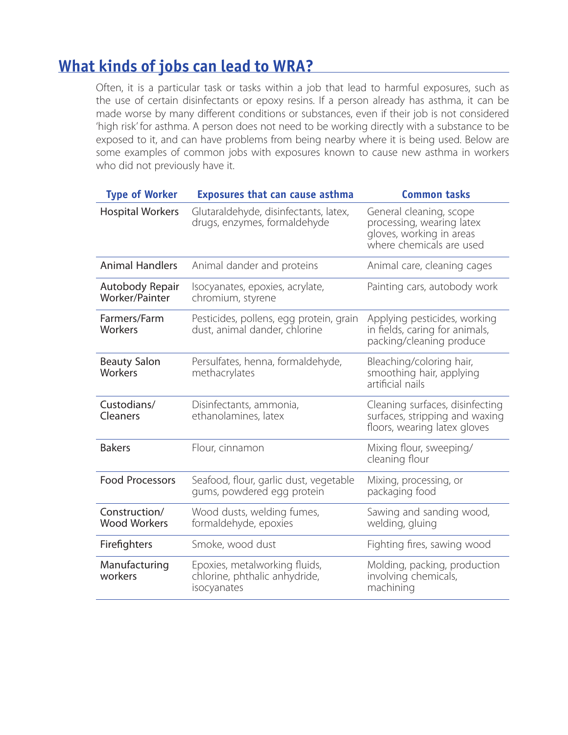# **What kinds of jobs can lead to WRA?**

Often, it is a particular task or tasks within a job that lead to harmful exposures, such as the use of certain disinfectants or epoxy resins. If a person already has asthma, it can be made worse by many different conditions or substances, even if their job is not considered 'high risk' for asthma. A person does not need to be working directly with a substance to be exposed to it, and can have problems from being nearby where it is being used. Below are some examples of common jobs with exposures known to cause new asthma in workers who did not previously have it.

| <b>Type of Worker</b>                | <b>Exposures that can cause asthma</b>                                        | <b>Common tasks</b>                                                                                          |
|--------------------------------------|-------------------------------------------------------------------------------|--------------------------------------------------------------------------------------------------------------|
| <b>Hospital Workers</b>              | Glutaraldehyde, disinfectants, latex,<br>drugs, enzymes, formaldehyde         | General cleaning, scope<br>processing, wearing latex<br>gloves, working in areas<br>where chemicals are used |
| <b>Animal Handlers</b>               | Animal dander and proteins                                                    | Animal care, cleaning cages                                                                                  |
| Autobody Repair<br>Worker/Painter    | Isocyanates, epoxies, acrylate,<br>chromium, styrene                          | Painting cars, autobody work                                                                                 |
| Farmers/Farm<br>Workers              | Pesticides, pollens, egg protein, grain<br>dust, animal dander, chlorine      | Applying pesticides, working<br>in fields, caring for animals,<br>packing/cleaning produce                   |
| <b>Beauty Salon</b><br>Workers       | Persulfates, henna, formaldehyde,<br>methacrylates                            | Bleaching/coloring hair,<br>smoothing hair, applying<br>artificial nails                                     |
| Custodians/<br>Cleaners              | Disinfectants, ammonia,<br>ethanolamines, latex                               | Cleaning surfaces, disinfecting<br>surfaces, stripping and waxing<br>floors, wearing latex gloves            |
| <b>Bakers</b>                        | Flour, cinnamon                                                               | Mixing flour, sweeping/<br>cleaning flour                                                                    |
| <b>Food Processors</b>               | Seafood, flour, garlic dust, vegetable<br>qums, powdered egg protein          | Mixing, processing, or<br>packaging food                                                                     |
| Construction/<br><b>Wood Workers</b> | Wood dusts, welding fumes,<br>formaldehyde, epoxies                           | Sawing and sanding wood,<br>welding, gluing                                                                  |
| Firefighters                         | Smoke, wood dust                                                              | Fighting fires, sawing wood                                                                                  |
| Manufacturing<br>workers             | Epoxies, metalworking fluids,<br>chlorine, phthalic anhydride,<br>isocyanates | Molding, packing, production<br>involving chemicals,<br>machining                                            |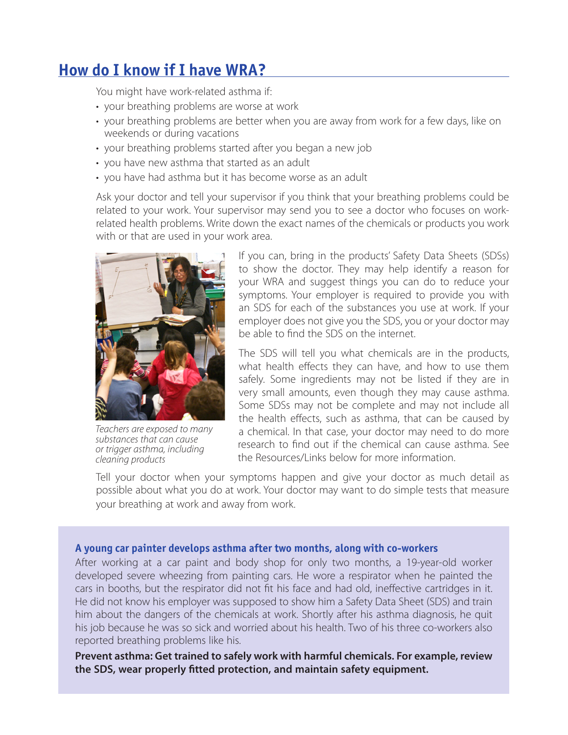# **How do I know if I have WRA?**

You might have work-related asthma if:

- your breathing problems are worse at work
- your breathing problems are better when you are away from work for a few days, like on weekends or during vacations
- your breathing problems started after you began a new job
- you have new asthma that started as an adult
- you have had asthma but it has become worse as an adult

Ask your doctor and tell your supervisor if you think that your breathing problems could be related to your work. Your supervisor may send you to see a doctor who focuses on workrelated health problems. Write down the exact names of the chemicals or products you work with or that are used in your work area.



*Teachers are exposed to many substances that can cause or trigger asthma, including cleaning products*

If you can, bring in the products' Safety Data Sheets (SDSs) to show the doctor. They may help identify a reason for your WRA and suggest things you can do to reduce your symptoms. Your employer is required to provide you with an SDS for each of the substances you use at work. If your employer does not give you the SDS, you or your doctor may be able to find the SDS on the internet.

The SDS will tell you what chemicals are in the products, what health effects they can have, and how to use them safely. Some ingredients may not be listed if they are in very small amounts, even though they may cause asthma. Some SDSs may not be complete and may not include all the health effects, such as asthma, that can be caused by a chemical. In that case, your doctor may need to do more research to find out if the chemical can cause asthma. See the Resources/Links below for more information.

Tell your doctor when your symptoms happen and give your doctor as much detail as possible about what you do at work. Your doctor may want to do simple tests that measure your breathing at work and away from work.

#### **A young car painter develops asthma after two months, along with co-workers**

After working at a car paint and body shop for only two months, a 19-year-old worker developed severe wheezing from painting cars. He wore a respirator when he painted the cars in booths, but the respirator did not fit his face and had old, ineffective cartridges in it. He did not know his employer was supposed to show him a Safety Data Sheet (SDS) and train him about the dangers of the chemicals at work. Shortly after his asthma diagnosis, he quit his job because he was so sick and worried about his health. Two of his three co-workers also reported breathing problems like his.

**Prevent asthma: Get trained to safely work with harmful chemicals. For example, review the SDS, wear properly fitted protection, and maintain safety equipment.**